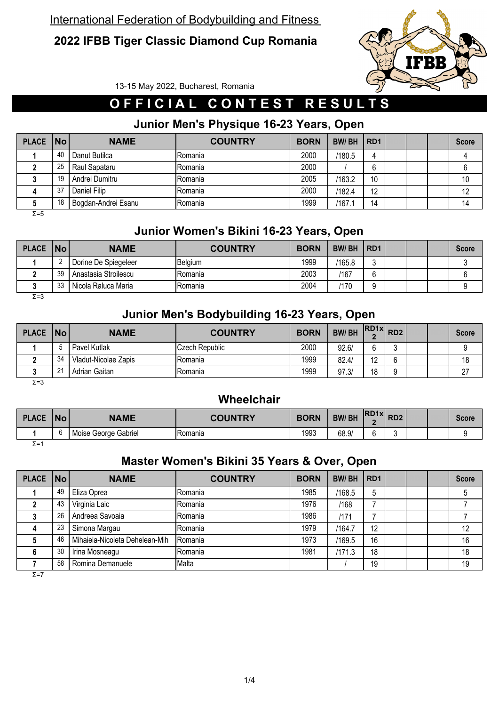### **2022 IFBB Tiger Classic Diamond Cup Romania**



13-15 May 2022, Bucharest, Romania

## **O F F I C I A L C O N T E S T R E S U L T S**

## **Junior Men's Physique 16-23 Years, Open**

| PLACE No |    | <b>NAME</b>         | <b>COUNTRY</b> | <b>BORN</b> | <b>BW/BH</b> | RD <sub>1</sub>               |  | <b>Score</b> |
|----------|----|---------------------|----------------|-------------|--------------|-------------------------------|--|--------------|
|          | 40 | Danut Butilca       | IRomania       | 2000        | /180.5       | 4                             |  |              |
|          | 25 | Raul Sapataru       | <b>Romania</b> | 2000        |              | $\overline{\phantom{a}}$<br>b |  |              |
|          | 19 | Andrei Dumitru      | <b>Romania</b> | 2005        | /163.2       | 10                            |  | 10           |
|          | 37 | Daniel Filip        | Romania        | 2000        | /182.4       | 12                            |  | 12           |
|          | 18 | Bogdan-Andrei Esanu | Romania        | 1999        | /167.1       | 14                            |  | 14           |

Σ=5

### **Junior Women's Bikini 16-23 Years, Open**

| <b>PLACE</b> | No | <b>NAME</b>          | <b>COUNTRY</b> | <b>BORN</b> | <b>BW/BH</b> | RD <sub>1</sub> |  | <b>Score</b> |
|--------------|----|----------------------|----------------|-------------|--------------|-----------------|--|--------------|
|              |    | Dorine De Spiegeleer | Belgium        | 1999        | /165.8       | ◠               |  |              |
|              | 39 | Anastasia Stroilescu | IRomania       | 2003        | /167         | ◠               |  |              |
|              | 33 | Nicola Raluca Maria  | lRomania       | 2004        | 170          | ◠<br>u          |  |              |
| $\Sigma = 3$ |    |                      |                |             |              |                 |  |              |

#### **Junior Men's Bodybuilding 16-23 Years, Open**

| PLACE   No |               | <b>NAME</b>          | <b>COUNTRY</b> | <b>BORN</b> | <b>BW/BH</b> | $RDAx$ $RDA$           |  | <b>Score</b> |
|------------|---------------|----------------------|----------------|-------------|--------------|------------------------|--|--------------|
|            |               | Pavel Kutlak         | Czech Republic | 2000        | 92.6/        | $\sim$                 |  |              |
|            | 34            | Vladut-Nicolae Zapis | <b>Romania</b> | 1999        | 82.4/        | $\overline{10}$<br>1 L |  | 18           |
|            | $\mathcal{L}$ | Adrian Gaitan        | IRomania       | 1999        | 97.3/        | 18                     |  | $\sim$       |
| $ \sim$    |               |                      |                |             |              |                        |  |              |

Σ=3

#### **Wheelchair**

| <b>PLACE</b> | <b>No</b> | <b>NAME</b>          | <b>COUNTRY</b> | <b>BORN</b> | <b>BW/BH</b> | <b>RD1xl</b> | RD <sub>2</sub> |  | Score |
|--------------|-----------|----------------------|----------------|-------------|--------------|--------------|-----------------|--|-------|
|              |           | Moise George Gabriel | Romania        | 1993        | 68.9/        |              |                 |  |       |
| $\Sigma = 1$ |           |                      |                |             |              |              |                 |  |       |

#### **Master Women's Bikini 35 Years & Over, Open**

| <b>PLACE</b> | <b>No</b> | <b>NAME</b>                    | <b>COUNTRY</b> | <b>BORN</b> | <b>BW/BH</b> | RD <sub>1</sub> |  | <b>Score</b> |
|--------------|-----------|--------------------------------|----------------|-------------|--------------|-----------------|--|--------------|
|              | 49        | Eliza Oprea                    | Romania        | 1985        | /168.5       | 5               |  |              |
|              | 43        | Virginia Laic                  | Romania        | 1976        | /168         |                 |  |              |
|              | 26        | Andreea Savoaia                | Romania        | 1986        | /171         |                 |  |              |
|              | 23        | Simona Margau                  | Romania        | 1979        | /164.7       | 12              |  | 12           |
|              | 46        | Mihaiela-Nicoleta Dehelean-Mih | Romania        | 1973        | /169.5       | 16              |  | 16           |
|              | 30        | Irina Mosneagu                 | Romania        | 1981        | /171.3       | 18              |  | 18           |
|              | 58        | Romina Demanuele               | Malta          |             |              | 19              |  | 19           |
| $\Sigma = 7$ |           |                                |                |             |              |                 |  |              |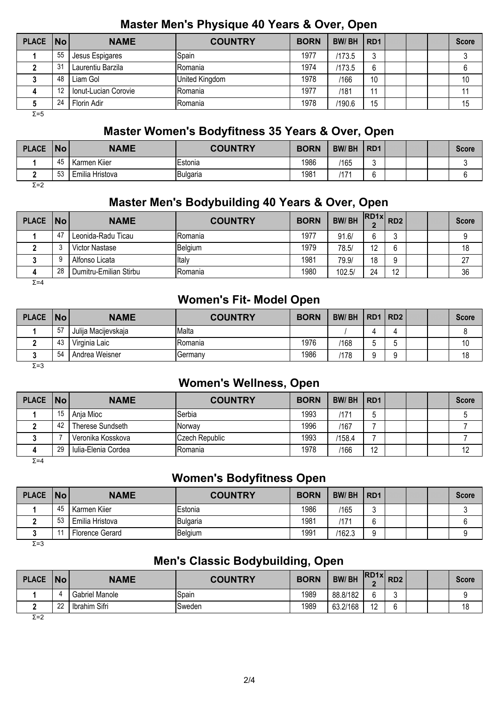#### **Master Men's Physique 40 Years & Over, Open**

| <b>PLACE</b> | $\overline{\mathsf{No}}$ | <b>NAME</b>          | <b>COUNTRY</b> | <b>BORN</b> | <b>BW/BH</b> | R <sub>D</sub> 1 |  | <b>Score</b> |
|--------------|--------------------------|----------------------|----------------|-------------|--------------|------------------|--|--------------|
|              | 55                       | Jesus Espigares      | Spain          | 1977        | /173.5       |                  |  |              |
|              | 31                       | Laurentiu Barzila    | IRomania       | 1974        | /173.5       | 6                |  |              |
|              | 48                       | Liam Gol             | United Kingdom | 1978        | /166         | 10               |  | 10           |
|              | 12                       | Ionut-Lucian Corovie | Romania        | 1977        | /181         | 11               |  |              |
|              | 24                       | Florin Adir          | Romania        | 1978        | /190.6       | 15               |  | 15           |
| $\Sigma = 5$ |                          |                      |                |             |              |                  |  |              |

#### **Master Women's Bodyfitness 35 Years & Over, Open**

| <b>PLACE</b> | <b>INo</b> | <b>NAME</b>     | <b>COUNTRY</b> | <b>BORN</b> | <b>BW/BH</b> | RD <sub>1</sub> |  | <b>Score</b> |
|--------------|------------|-----------------|----------------|-------------|--------------|-----------------|--|--------------|
|              | 45         | Karmen Kiier    | Estonia        | 1986        | /165         | ◠<br>L          |  |              |
|              | 53         | Emilia Hristova | Bulgaria       | 1981        | 117          | ◠               |  |              |
| $\Sigma = 2$ |            |                 |                |             |              |                 |  |              |

# **Master Men's Bodybuilding 40 Years & Over, Open**

| PLACE No |    | <b>NAME</b>            | <b>COUNTRY</b> | <b>BORN</b> | <b>BW/BH</b> | $\left $ IRD1x $\right $ RD2 |        |  | <b>Score</b> |
|----------|----|------------------------|----------------|-------------|--------------|------------------------------|--------|--|--------------|
|          | 47 | Leonida-Radu Ticau     | Romania        | 1977        | 91.6/        | ⌒                            |        |  | 9            |
|          |    | Victor Nastase         | Belgium        | 1979        | 78.5/        | 12                           | ⌒<br>h |  | 18           |
|          |    | Alfonso Licata         | Italy          | 1981        | 79.9/        | 18                           | 9      |  | 27           |
|          | 28 | Dumitru-Emilian Stirbu | Romania        | 1980        | 102.5/       | 24                           | 12     |  | 36           |

 $Σ=4$ 

### **Women's Fit- Model Open**

| PLACE   No   |    | <b>NAME</b>         | <b>COUNTRY</b> | <b>BORN</b> | <b>BW/BH</b> | RD1   RD2 |  | <b>Score</b> |
|--------------|----|---------------------|----------------|-------------|--------------|-----------|--|--------------|
|              | 57 | Julija Macijevskaja | Malta          |             |              |           |  |              |
|              | 43 | Virginia Laic       | IRomania       | 1976        | /168         |           |  | 10           |
|              | 54 | Andrea Weisner      | Germany        | 1986        | /178         |           |  | 18           |
| $\Sigma = 3$ |    |                     |                |             |              |           |  |              |

### **Women's Wellness, Open**

| PLACE   No |    | <b>NAME</b>         | <b>COUNTRY</b> | <b>BORN</b> | <b>BW/BH</b> | RD <sub>1</sub> |  | <b>Score</b> |
|------------|----|---------------------|----------------|-------------|--------------|-----------------|--|--------------|
|            | 15 | Ania Mioc           | Serbia         | 1993        | /171         |                 |  |              |
|            | 42 | Therese Sundseth    | <b>Norwav</b>  | 1996        | /167         |                 |  |              |
|            |    | Veronika Kosskova   | Czech Republic | 1993        | 158.4        |                 |  |              |
|            | 29 | Iulia-Elenia Cordea | Romania        | 1978        | /166         | 12              |  | 12           |

Σ=4

### **Women's Bodyfitness Open**

| <b>PLACE</b> | No             | <b>NAME</b>     | <b>COUNTRY</b> | <b>BORN</b> | <b>BW/BH</b> | RD <sub>1</sub> |  | Score |
|--------------|----------------|-----------------|----------------|-------------|--------------|-----------------|--|-------|
|              | 45             | Karmen Kiier    | Estonia        | 1986        | /165         |                 |  |       |
|              | 53             | Emilia Hristova | Bulgaria       | 1981        | '17          |                 |  |       |
|              | $\overline{A}$ | Florence Gerard | Belgium        | 1991        | /162.3       |                 |  |       |

Σ=3

### **Men's Classic Bodybuilding, Open**

| <b>PLACE</b> | <b>No</b> | <b>NAME</b>    | <b>COUNTRY</b> | <b>BORN</b> | <b>BW/BH</b> | $RDAx$ $RDA$          |             |  | Score |
|--------------|-----------|----------------|----------------|-------------|--------------|-----------------------|-------------|--|-------|
|              |           | Gabriel Manole | Spain          | 1989        | 88.8/182     | ⌒                     | ∽<br>ັ      |  |       |
|              | nn<br>"   | Ibrahim Sifri  | Sweden         | 1989        | 63.2/168     | $\overline{A}$<br>ے ا | $\sim$<br>n |  | 18    |

Σ=2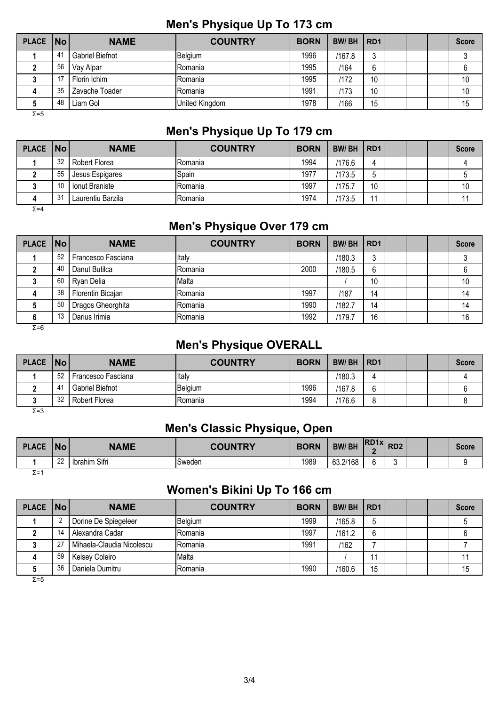#### **Men's Physique Up To 173 cm**

| PLACE   No   |    | <b>NAME</b>     | <b>COUNTRY</b> | <b>BORN</b> | <b>BW/BH</b> | RD <sub>1</sub> |  | <b>Score</b> |
|--------------|----|-----------------|----------------|-------------|--------------|-----------------|--|--------------|
|              | 41 | Gabriel Biefnot | Belgium        | 1996        | /167.8       |                 |  |              |
|              | 56 | Vay Alpar       | <b>Romania</b> | 1995        | /164         | 6               |  |              |
|              | 17 | Florin Ichim    | IRomania       | 1995        | /172         | 10              |  | 10           |
| 4            | 35 | Zavache Toader  | <b>Romania</b> | 1991        | /173         | 10              |  | 10           |
|              | 48 | Liam Gol        | United Kingdom | 1978        | /166         | 15              |  | 15           |
| $\Sigma = 5$ |    |                 |                |             |              |                 |  |              |

#### **Men's Physique Up To 179 cm**

| <b>PLACE</b> | $\overline{\mathsf{No}}$ | <b>NAME</b>       | <b>COUNTRY</b> | <b>BORN</b> | <b>BW/BH</b> | RD <sub>1</sub> |  | <b>Score</b> |
|--------------|--------------------------|-------------------|----------------|-------------|--------------|-----------------|--|--------------|
|              | 32                       | Robert Florea     | <b>Romania</b> | 1994        | /176.6       |                 |  |              |
|              | 55                       | Jesus Espigares   | Spain          | 1977        | 173.5        | b               |  |              |
|              | 10                       | Ionut Braniste    | IRomania       | 1997        | 175.         | 10              |  | 10           |
| 4            | 31                       | Laurentiu Barzila | IRomania       | 1974        | /173.5       | $\overline{A}$  |  |              |

 $Σ=4$ 

#### **Men's Physique Over 179 cm**

| <b>PLACE</b> | $\overline{\mathsf{No}}$ | <b>NAME</b>        | <b>COUNTRY</b> | <b>BORN</b> | <b>BW/BH</b> | RD <sub>1</sub> |  | <b>Score</b> |
|--------------|--------------------------|--------------------|----------------|-------------|--------------|-----------------|--|--------------|
|              | 52                       | Francesco Fasciana | Italy          |             | /180.3       | ົ<br>J          |  |              |
|              | 40                       | Danut Butilca      | Romania        | 2000        | /180.5       | 6               |  |              |
|              | 60                       | Ryan Delia         | Malta          |             |              | 10              |  | 10           |
| 4            | 38                       | Florentin Bicajan  | lRomania       | 1997        | /187         | 14              |  | 14           |
|              | 50                       | Dragos Gheorghita  | <b>Romania</b> | 1990        | /182.7       | 14              |  | 14           |
| 6            | 13                       | Darius Irimia      | Romania        | 1992        | /179.7       | 16              |  | 16           |

 $Σ=6$ 

#### **Men's Physique OVERALL**

| <b>PLACE</b> | $\vert$ No $\vert$ | <b>NAME</b>        | <b>COUNTRY</b> | <b>BORN</b> | <b>BW/BH</b> | RD <sub>1</sub> |  | <b>Score</b> |
|--------------|--------------------|--------------------|----------------|-------------|--------------|-----------------|--|--------------|
|              | 52                 | Francesco Fasciana | <b>Iltal</b>   |             | /180.3       |                 |  |              |
|              | $\mathbf{A}$       | Gabriel Biefnot    | Belgium        | 1996        | /167.8       | $\sim$          |  |              |
|              | 32                 | Robert Florea      | IRomania       | 1994        | /176.6       | o               |  |              |
| $\Sigma = 3$ |                    |                    |                |             |              |                 |  |              |

### **Men's Classic Physique, Open**

| <b>PLACE</b> | <b>No</b> | <b>NAME</b>   | <b>COUNTRY</b> | <b>BORN</b> | <b>BW/BH</b> | <b>RD1x</b> | RD <sub>2</sub> |  | Score |
|--------------|-----------|---------------|----------------|-------------|--------------|-------------|-----------------|--|-------|
|              | ററ<br>"   | Ibrahim Sifri | Sweden         | 1989        | 63.2/168     |             |                 |  |       |
| $\Sigma = 1$ |           |               |                |             |              |             |                 |  |       |

#### **Women's Bikini Up To 166 cm**

| PLACE   No |    | <b>NAME</b>               | <b>COUNTRY</b> | <b>BORN</b> | <b>BW/BH</b> | RD <sub>1</sub> |  | <b>Score</b> |
|------------|----|---------------------------|----------------|-------------|--------------|-----------------|--|--------------|
|            |    | Dorine De Spiegeleer      | Belgium        | 1999        | /165.8       | đ               |  |              |
|            | 14 | Alexandra Cadar           | Romania        | 1997        | /161.2       | ี่ค             |  |              |
|            | 27 | Mihaela-Claudia Nicolescu | Romania        | 1991        | /162         |                 |  |              |
|            | 59 | Kelsey Coleiro            | Malta          |             |              |                 |  |              |
|            | 36 | Daniela Dumitru           | Romania        | 1990        | /160.6       | 15              |  | 15           |

Σ=5